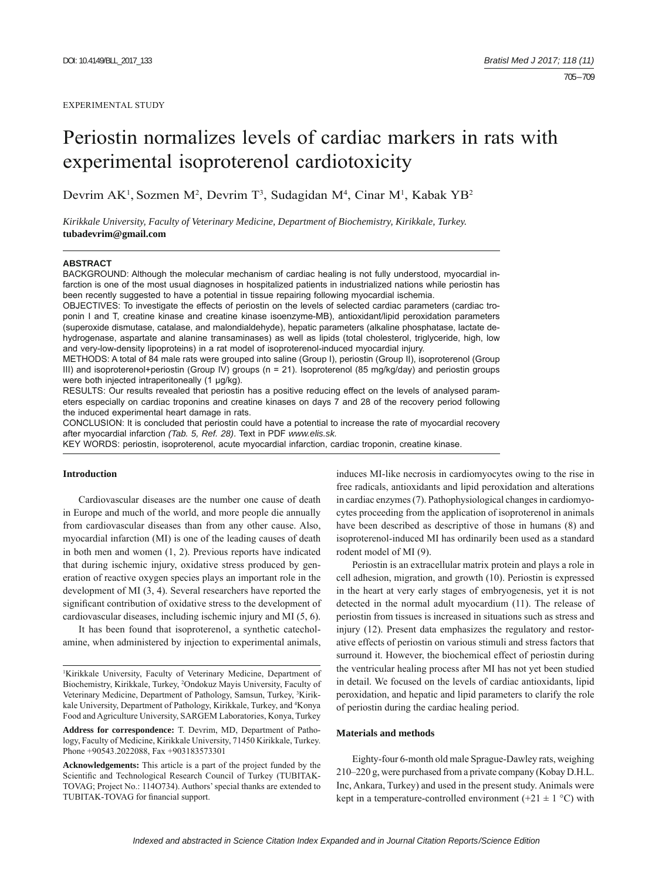### EXPERIMENTAL STUDY

# Periostin normalizes levels of cardiac markers in rats with experimental isoproterenol cardiotoxicity

Devrim AK<sup>1</sup>, Sozmen M<sup>2</sup>, Devrim T<sup>3</sup>, Sudagidan M<sup>4</sup>, Cinar M<sup>1</sup>, Kabak YB<sup>2</sup>

*Kirikkale University, Faculty of Veterinary Medicine, Department of Biochemistry, Kirikkale, Turkey.*  **tubadevrim@gmail.com**

### **ABSTRACT**

BACKGROUND: Although the molecular mechanism of cardiac healing is not fully understood, myocardial infarction is one of the most usual diagnoses in hospitalized patients in industrialized nations while periostin has been recently suggested to have a potential in tissue repairing following myocardial ischemia.

OBJECTIVES: To investigate the effects of periostin on the levels of selected cardiac parameters (cardiac troponin I and T, creatine kinase and creatine kinase isoenzyme-MB), antioxidant/lipid peroxidation parameters (superoxide dismutase, catalase, and malondialdehyde), hepatic parameters (alkaline phosphatase, lactate dehydrogenase, aspartate and alanine transaminases) as well as lipids (total cholesterol, triglyceride, high, low and very-low-density lipoproteins) in a rat model of isoproterenol -induced myocardial injury.

METHODS: A total of 84 male rats were grouped into saline (Group I), periostin (Group II), isoproterenol (Group III) and isoproterenol+periostin (Group IV) groups (n = 21). Isoproterenol (85 mg/kg/day) and periostin groups were both injected intraperitoneally (1 μg/kg).

RESULTS: Our results revealed that periostin has a positive reducing effect on the levels of analysed parameters especially on cardiac troponins and creatine kinases on days 7 and 28 of the recovery period following the induced experimental heart damage in rats.

CONCLUSION: It is concluded that periostin could have a potential to increase the rate of myocardial recovery after myocardial infarction *(Tab. 5, Ref. 28)*. Text in PDF *www.elis.sk.*

KEY WORDS: periostin, isoproterenol, acute myocardial infarction, cardiac troponin, creatine kinase.

# **Introduction**

Cardiovascular diseases are the number one cause of death in Europe and much of the world, and more people die annually from cardiovascular diseases than from any other cause. Also, myocardial infarction (MI) is one of the leading causes of death in both men and women (1, 2). Previous reports have indicated that during ischemic injury, oxidative stress produced by generation of reactive oxygen species plays an important role in the development of MI (3, 4). Several researchers have reported the significant contribution of oxidative stress to the development of cardiovascular diseases, including ischemic injury and MI (5, 6).

It has been found that isoproterenol, a synthetic catecholamine, when administered by injection to experimental animals,

**Address for correspondence:** T. Devrim, MD, Department of Pathology, Faculty of Medicine, Kirikkale University, 71450 Kirikkale, Turkey. Phone +90543.2022088, Fax +903183573301

**Acknowledgements:** This article is a part of the project funded by the Scientific and Technological Research Council of Turkey (TUBITAK-TOVAG; Project No.: 114O734). Authors' special thanks are extended to TUBITAK-TOVAG for financial support.

induces MI-like necrosis in cardiomyocytes owing to the rise in free radicals, antioxidants and lipid peroxidation and alterations in cardiac enzymes (7). Pathophysiological changes in cardiomyocytes proceeding from the application of isoproterenol in animals have been described as descriptive of those in humans (8) and isoproterenol-induced MI has ordinarily been used as a standard rodent model of MI (9).

Periostin is an extracellular matrix protein and plays a role in cell adhesion, migration, and growth (10). Periostin is expressed in the heart at very early stages of embryogenesis, yet it is not detected in the normal adult myocardium (11). The release of periostin from tissues is increased in situations such as stress and injury (12). Present data emphasizes the regulatory and restorative effects of periostin on various stimuli and stress factors that surround it. However, the biochemical effect of periostin during the ventricular healing process after MI has not yet been studied in detail. We focused on the levels of cardiac antioxidants, lipid peroxidation, and hepatic and lipid parameters to clarify the role of periostin during the cardiac healing period.

## **Materials and methods**

Eighty-four 6-month old male Sprague-Dawley rats, weighing 210–220 g, were purchased from a private company (Kobay D.H.L. Inc, Ankara, Turkey) and used in the present study. Animals were kept in a temperature-controlled environment  $(+21 \pm 1 \degree C)$  with

<sup>1</sup> Kirikkale University, Faculty of Veterinary Medicine, Department of Biochemistry, Kirikkale, Turkey, 2 Ondokuz Mayis University, Faculty of Veterinary Medicine, Department of Pathology, Samsun, Turkey, <sup>3</sup>Kirikkale University, Department of Pathology, Kirikkale, Turkey, and <sup>4</sup>Konya Food and Agriculture University, SARGEM Laboratories, Konya, Turkey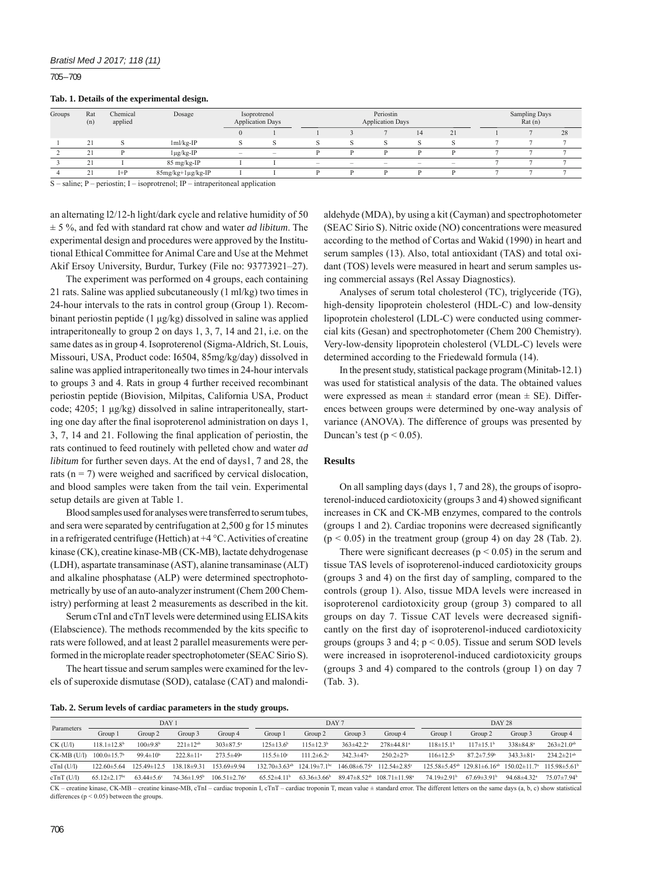705 – 709

## **Tab. 1. Details of the experimental design.**

| Groups | Rat<br>(n)      | Chemical<br>applied | Dosage            | Isoprotrenol<br><b>Application Days</b> |        |                                 |                                 | Periostin<br><b>Application Days</b> | Sampling Days<br>Rat(n) |                   |  |    |
|--------|-----------------|---------------------|-------------------|-----------------------------------------|--------|---------------------------------|---------------------------------|--------------------------------------|-------------------------|-------------------|--|----|
|        |                 |                     |                   |                                         |        |                                 |                                 |                                      | 14 <sup>°</sup>         | 21                |  | 28 |
|        | 21              |                     | $1ml/kg-IP$       |                                         |        |                                 |                                 |                                      |                         |                   |  |    |
|        | $\sim$          |                     | $1\mu g/kg-IP$    | -                                       | $\sim$ |                                 |                                 | D                                    |                         | D                 |  |    |
|        | 21              |                     | 85 mg/kg-IP       |                                         |        | $\hspace{0.1mm}-\hspace{0.1mm}$ | $\hspace{0.1mm}-\hspace{0.1mm}$ | $\hspace{0.1mm}-\hspace{0.1mm}$      | $\hspace{0.05cm}$       | $\hspace{0.05cm}$ |  |    |
|        | $\bigcap$<br>41 | $I+P$               | 85mg/kg+1µg/kg-IP |                                         |        |                                 |                                 | D                                    |                         | Ð                 |  |    |

S – saline; P – periostin; I – isoprotrenol; IP – intraperitoneal application

an alternating l2/12-h light/dark cycle and relative humidity of 50 ± 5 %, and fed with standard rat chow and water *ad libitum*. The experimental design and procedures were approved by the Institutional Ethical Committee for Animal Care and Use at the Mehmet Akif Ersoy University, Burdur, Turkey (File no: 93773921–27).

The experiment was performed on 4 groups, each containing 21 rats. Saline was applied subcutaneously (1 ml/kg) two times in 24-hour intervals to the rats in control group (Group 1). Recombinant periostin peptide (1 μg/kg) dissolved in saline was applied intraperitoneally to group 2 on days 1, 3, 7, 14 and 21, i.e. on the same dates as in group 4. Isoproterenol (Sigma-Aldrich, St. Louis, Missouri, USA, Product code: I6504, 85mg/kg/day) dissolved in saline was applied intraperitoneally two times in 24-hour intervals to groups 3 and 4. Rats in group 4 further received recombinant periostin peptide (Biovision, Milpitas, California USA, Product code; 4205; 1 μg/kg) dissolved in saline intraperitoneally, starting one day after the final isoproterenol administration on days 1,  $3, 7, 14$  and  $21$ . Following the final application of periostin, the rats continued to feed routinely with pelleted chow and water *ad libitum* for further seven days. At the end of days1, 7 and 28, the rats ( $n = 7$ ) were weighed and sacrificed by cervical dislocation, and blood samples were taken from the tail vein. Experimental setup details are given at Table 1.

Blood samples used for analyses were transferred to serum tubes, and sera were separated by centrifugation at 2,500 g for 15 minutes in a refrigerated centrifuge (Hettich) at  $+4$  °C. Activities of creatine kinase (CK), creatine kinase-MB (CK-MB), lactate dehydrogenase (LDH), aspartate transaminase (AST), alanine transaminase (ALT) and alkaline phosphatase (ALP) were determined spectrophotometrically by use of an auto-analyzer instrument (Chem 200 Chemistry) performing at least 2 measurements as described in the kit.

Serum cTnI and cTnT levels were determined using ELISA kits (Elabscience). The methods recommended by the kits specific to rats were followed, and at least 2 parallel measurements were performed in the microplate reader spectrophotometer (SEAC Sirio S).

The heart tissue and serum samples were examined for the levels of superoxide dismutase (SOD), catalase (CAT) and malondialdehyde (MDA), by using a kit (Cayman) and spectrophotometer (SEAC Sirio S). Nitric oxide (NO) concentrations were measured according to the method of Cortas and Wakid (1990) in heart and serum samples (13). Also, total antioxidant (TAS) and total oxidant (TOS) levels were measured in heart and serum samples using commercial assays (Rel Assay Diagnostics).

Analyses of serum total cholesterol (TC), triglyceride (TG), high-density lipoprotein cholesterol (HDL-C) and low-density lipoprotein cholesterol (LDL-C) were conducted using commercial kits (Gesan) and spectrophotometer (Chem 200 Chemistry). Very-low-density lipoprotein cholesterol (VLDL-C) levels were determined according to the Friedewald formula (14).

In the present study, statistical package program (Minitab-12.1) was used for statistical analysis of the data. The obtained values were expressed as mean  $\pm$  standard error (mean  $\pm$  SE). Differences between groups were determined by one-way analysis of variance (ANOVA). The difference of groups was presented by Duncan's test ( $p < 0.05$ ).

# **Results**

On all sampling days (days 1, 7 and 28), the groups of isoproterenol-induced cardiotoxicity (groups 3 and 4) showed significant increases in CK and CK-MB enzymes, compared to the controls  $(g_{\text{rough}})$  and 2). Cardiac troponins were decreased significantly  $(p < 0.05)$  in the treatment group (group 4) on day 28 (Tab. 2).

There were significant decreases ( $p < 0.05$ ) in the serum and tissue TAS levels of isoproterenol-induced cardiotoxicity groups (groups  $3$  and  $4$ ) on the first day of sampling, compared to the controls (group 1). Also, tissue MDA levels were increased in isoproterenol cardiotoxicity group (group 3) compared to all groups on day 7. Tissue CAT levels were decreased significantly on the first day of isoproterenol-induced cardiotoxicity groups (groups 3 and 4;  $p < 0.05$ ). Tissue and serum SOD levels were increased in isoproterenol-induced cardiotoxicity groups (groups 3 and 4) compared to the controls (group 1) on day 7 (Tab. 3).

| Tab. 2. Serum levels of cardiac parameters in the study groups. |  |  |  |
|-----------------------------------------------------------------|--|--|--|
|                                                                 |  |  |  |

| Parameters                           |                                | DAY <sub>1</sub>           |                             |                             |                                              |                        | DAY 7                      |                                                          | DAY 28                        |                                                                                   |                             |                               |  |
|--------------------------------------|--------------------------------|----------------------------|-----------------------------|-----------------------------|----------------------------------------------|------------------------|----------------------------|----------------------------------------------------------|-------------------------------|-----------------------------------------------------------------------------------|-----------------------------|-------------------------------|--|
|                                      | Group 1                        | Group 2                    | Group 3                     | Group 4                     | Group 1                                      | Group 2                | Group 3                    | Group 4                                                  | Group 1                       | Group 2                                                                           | Group 3                     | Group 4                       |  |
| $CK$ (U/l)                           | $118.1 \pm 12.8$ <sup>b</sup>  | $100 \pm 9.8$ <sup>b</sup> | $221 \pm 12^{ab}$           | $303 \pm 87.5$ <sup>a</sup> | $125 \pm 13.6^b$                             | $115 \pm 12.3^b$       | $363\pm42.2^{\circ}$       | $278 \pm 4481$ <sup>a</sup>                              | $118 \pm 15.1^{\circ}$        | $117\pm15$ 1 <sup>b</sup>                                                         | $338 \pm 84.8^a$            | $263 \pm 21.0$ <sup>ab</sup>  |  |
| $CK-MB$ (U/l) $100.0\pm15.7^{\circ}$ |                                | 99.4 $\pm$ 10 <sup>b</sup> | $222.8 \pm 11$ <sup>a</sup> | $273.5 \pm 49$ <sup>a</sup> | $115.5 \pm 10^{\circ}$                       | $111.2 \pm 6.2$ °      | 342 $3\pm 47$ <sup>a</sup> | $250.2 \pm 27$ <sup>b</sup>                              | $116 \pm 12.5^{\circ}$        | $872+759$                                                                         | $343.3 \pm 81$ <sup>a</sup> | $234.2 \pm 21$ <sup>ab</sup>  |  |
| $cTnI$ (U/l)                         | $122.60 \pm 5.64$              | $125.49 \pm 12.5$          | $138.18 \pm 9.31$           | 153.69±9.94                 | $132.70 \pm 3.63^{ab}$ $124.19 \pm 7.1^{bc}$ |                        |                            | $146.08\pm 6.75$ <sup>a</sup> 112.54 ± 2.85 <sup>c</sup> |                               | $125.58\pm5.45^{ab}$ $129.81\pm6.16^{ab}$ $150.02\pm11.7^{a}$ $115.98\pm5.61^{b}$ |                             |                               |  |
| $cTnT$ (U/l)                         | $65.12 \pm 2.17$ <sup>bc</sup> | $63.44 \pm 5.6$ °          | $74.36 \pm 1.95^b$          | $106.51 \pm 2.76^{\circ}$   | $65.52 \pm 4.11^b$                           | $63.36\pm3.66^{\circ}$ |                            | $89.47 \pm 8.52^{ab}$ 108.71 $\pm$ 11.98 <sup>a</sup>    | $74.19 \pm 2.91$ <sup>b</sup> | $67.69\pm3.91b$                                                                   | 94 $68\pm4.32$ <sup>a</sup> | $75.07 \pm 7.94$ <sup>b</sup> |  |

CK – creatine kinase, CK-MB – creatine kinase-MB, cTnI – cardiac troponin I, cTnT – cardiac troponin T, mean value ± standard error. The different letters on the same days (a, b, c) show statistical differences ( $p \le 0.05$ ) between the groups.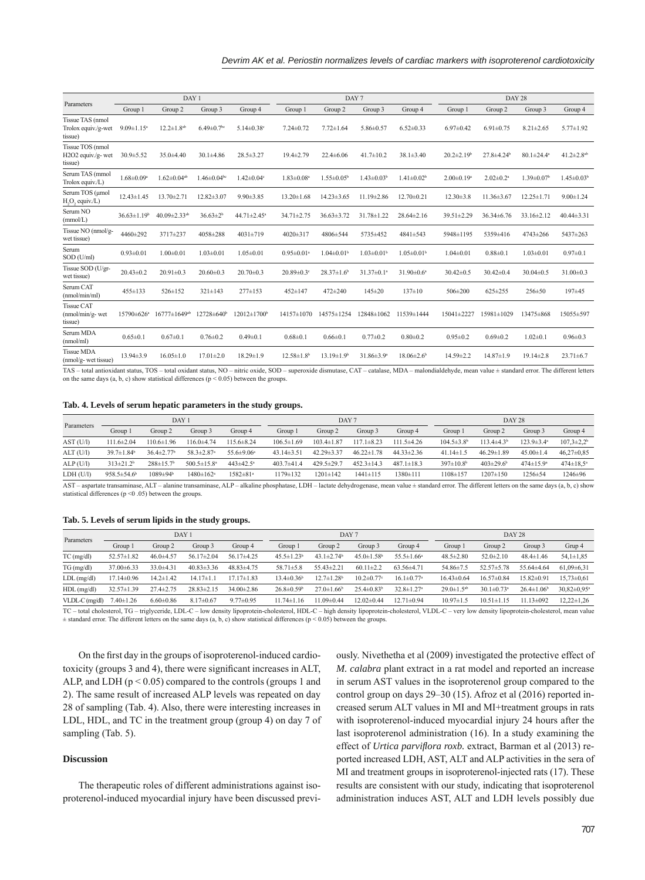|                                                            |                    | DAY 1                          |                              |                               |                              | DAY <sub>7</sub>             |                              |                              | DAY 28                       |                              |                              |                              |  |
|------------------------------------------------------------|--------------------|--------------------------------|------------------------------|-------------------------------|------------------------------|------------------------------|------------------------------|------------------------------|------------------------------|------------------------------|------------------------------|------------------------------|--|
| Parameters                                                 | Group 1            | Group 2                        | Group 3                      | Group 4                       | Group 1                      | Group 2                      | Group 3                      | Group 4                      | Group 1                      | Group 2                      | Group 3                      | Group 4                      |  |
| Tissue TAS (nmol<br>Trolox equiv./g-wet<br>tissue)         | $9.09 \pm 1.15^a$  | $12.2 \pm 1.8^{ab}$            | $6.49 \pm 0.7$ <sup>bc</sup> | $5.14 \pm 0.38$ <sup>c</sup>  | $7.24 \pm 0.72$              | $7.72 \pm 1.64$              | $5.86 \pm 0.57$              | $6.52 \pm 0.33$              | $6.97 \pm 0.42$              | $6.91 \pm 0.75$              | $8.21 \pm 2.65$              | $5.77 \pm 1.92$              |  |
| Tissue TOS (nmol<br>H2O2 equiv./g- wet<br>tissue)          | $30.9 \pm 5.52$    | $35.0 \pm 4.40$                | $30.1 \pm 4.86$              | $28.5 \pm 3.27$               | $19.4 \pm 2.79$              | $22.4 \pm 6.06$              | $41.7 \pm 10.2$              | $38.1 \pm 3.40$              | $20.2 \pm 2.19$ <sup>b</sup> | $27.8 \pm 4.24$ <sup>b</sup> | $80.1 \pm 24.4^{\circ}$      | 41.2 $\pm$ 2.8 <sup>ab</sup> |  |
| Serum TAS (mmol<br>Trolox equiv./L)                        | $1.68 \pm 0.09^a$  | $1.62 \pm 0.04$ <sup>ab</sup>  | $1.46 \pm 0.04$ bc           | $1.42 \pm 0.04$ <sup>c</sup>  | $1.83 \pm 0.08$ <sup>a</sup> | $1.55 \pm 0.05^{\circ}$      | $1.43 \pm 0.03^b$            | $1.41 \pm 0.02^b$            | $2.00 \pm 0.19$ <sup>a</sup> | $2.02 \pm 0.2$ <sup>a</sup>  | $1.39 \pm 0.07$ <sup>b</sup> | $1.45 \pm 0.03^b$            |  |
| Serum TOS (umol<br>H <sub>2</sub> O <sub>2</sub> equiv./L) | $12.43 \pm 1.45$   | $13.70 \pm 2.71$               | $12.82 \pm 3.07$             | $9.90 \pm 3.85$               | $13.20 \pm 1.68$             | $14.23 \pm 3.65$             | $11.19 \pm 2.86$             | $12.70 \pm 0.21$             | $12.30 \pm 3.8$              | $11.36 \pm 3.67$             | $12.25 \pm 1.71$             | $9.00 \pm 1.24$              |  |
| Serum NO<br>(mmol/L)                                       | $36.63 \pm 1.19^b$ | $40.09 \pm 2.33$ <sup>ab</sup> | $36.63 \pm 2^b$              | $44.71 \pm 2.45$ <sup>a</sup> | $34.71 \pm 2.75$             | $36.63 \pm 3.72$             | $31.78 \pm 1.22$             | $28.64 \pm 2.16$             | $39.51 \pm 2.29$             | $36.34\pm 6.76$              | $33.16 \pm 2.12$             | $40.44\pm3.31$               |  |
| Tissue NO (nmol/g-<br>wet tissue)                          | 4460±292           | 3717±237                       | 4058±288                     | $4031 \pm 719$                | $4020 \pm 317$               | 4806±544                     | 5735±452                     | 4841±543                     | 5948±1195                    | 5359±416                     | $4743 \pm 266$               | 5437±263                     |  |
| Serum<br>$SOD$ (U/ml)                                      | $0.93 \pm 0.01$    | $1.00 \pm 0.01$                | $1.03 \pm 0.01$              | $1.05 \pm 0.01$               | $0.95 \pm 0.01$ <sup>a</sup> | $1.04 \pm 0.01$ <sup>b</sup> | $1.03 \pm 0.01$ <sup>b</sup> | $1.05 \pm 0.01$ <sup>b</sup> | $1.04 \pm 0.01$              | $0.88 \pm 0.1$               | $1.03 \pm 0.01$              | $0.97 + 0.1$                 |  |
| Tissue SOD (U/gr-<br>wet tissue)                           | $20.43 \pm 0.2$    | $20.91 \pm 0.3$                | $20.60 \pm 0.3$              | $20.70 \pm 0.3$               | $20.89 \pm 0.3$ °            | $28.37 \pm 1.6^b$            | $31.37 \pm 0.1$ <sup>a</sup> | $31.90 \pm 0.6^a$            | $30.42 \pm 0.5$              | $30.42 \pm 0.4$              | $30.04 \pm 0.5$              | $31.00 \pm 0.3$              |  |
| Serum CAT<br>(nmol/min/ml)                                 | $455 \pm 133$      | $526 \pm 152$                  | $321 \pm 143$                | $277 \pm 153$                 | $452 \pm 147$                | $472 + 240$                  | $145 \pm 20$                 | $137 \pm 10$                 | $506 \pm 200$                | $625 \pm 255$                | $256 \pm 50$                 | 197±45                       |  |
| <b>Tissue CAT</b><br>$(mmol/min/g-wet)$<br>tissue)         | 15790±626ª         | $16777 \pm 1649$ <sup>ab</sup> | 12728±640 <sup>b</sup>       | 12012±1700 <sup>b</sup>       | 14157±1070                   | 14575±1254                   | 12848±1062                   | 11539±1444                   | 15041±2227                   | 15981±1029                   | 13475±868                    | 15055±597                    |  |
| Serum MDA<br>(mmol/ml)                                     | $0.65 \pm 0.1$     | $0.67 \pm 0.1$                 | $0.76 \pm 0.2$               | $0.49 \pm 0.1$                | $0.68 \pm 0.1$               | $0.66 \pm 0.1$               | $0.77 \pm 0.2$               | $0.80 + 0.2$                 | $0.95 \pm 0.2$               | $0.69 \pm 0.2$               | $1.02 \pm 0.1$               | $0.96 \pm 0.3$               |  |
| <b>Tissue MDA</b><br>(nmol/g- wet tissue)                  | $13.94 \pm 3.9$    | $16.05 \pm 1.0$                | $17.01 \pm 2.0$              | $18.29 \pm 1.9$               | $12.58 \pm 1.8$ <sup>b</sup> | $13.19 \pm 1.9$ <sup>b</sup> | $31.86 \pm 3.9^{\circ}$      | $18.06 \pm 2.6$ <sup>b</sup> | $14.59 \pm 2.2$              | $14.87 \pm 1.9$              | $19.14 \pm 2.8$              | $23.71 \pm 6.7$              |  |

TAS – total antioxidant status, TOS – total oxidant status, NO – nitric oxide, SOD – superoxide dismutase, CAT – catalase, MDA – malondialdehyde, mean value ± standard error. The different letters on the same days (a, b, c) show statistical differences ( $p < 0.05$ ) between the groups.

## **Tab. 4. Levels of serum hepatic parameters in the study groups.**

| Parameters |                              |                              | DAY 1                        |                         |                  | DAY <sub>7</sub> |                  |                  | DAY 28                       |                             |                         |                        |  |
|------------|------------------------------|------------------------------|------------------------------|-------------------------|------------------|------------------|------------------|------------------|------------------------------|-----------------------------|-------------------------|------------------------|--|
|            | Group 1                      | Group 2                      | Group 3                      | Group 4                 | Group 1          | Group 2          | Group 3          | Group 4          | Group                        | Group 2                     | Group 3                 | Group 4                |  |
| AST (U/I)  | $111.6 \pm 2.04$             | 110.6±1.96                   | $116.0 \pm 4.74$             | $115.6 \pm 8.24$        | $106.5 \pm 1.69$ | $103.4 \pm 1.87$ | $117.1 \pm 8.23$ | $111.5\pm4.26$   | $104.5 \pm 3.8$ <sup>b</sup> | $113.4 \pm 4.3^{\circ}$     | $123.9 \pm 3.4^{\circ}$ | $107.3 \pm 2.2^b$      |  |
| ALT (U/1)  | $39.7 \pm 1.84$ <sup>b</sup> | $36.4 \pm 2.77$ <sup>b</sup> | $58.3 \pm 2.87$ <sup>a</sup> | $55.6 \pm 9.06^{\circ}$ | $43.14\pm3.51$   | $42.29 \pm 3.37$ | $46.22 \pm 1.78$ | $44.33 \pm 2.36$ | $41.14 \pm 1.5$              | $46.29 \pm 1.89$            | $45.00 \pm 1.4$         | $46.27 \pm 0.85$       |  |
| ALP(U/I)   | $313 \pm 21.2^b$             | $288 \pm 15.7$ <sup>b</sup>  | $500.5 \pm 15.8^{\circ}$     | $443 \pm 42.5^{\circ}$  | $403.7 \pm 41.4$ | $429.5 \pm 29.7$ | $452.3 \pm 14.3$ | $487.1 \pm 18.3$ | $397 \pm 10.8$ <sup>b</sup>  | $403 \pm 29.6$ <sup>b</sup> | $474 \pm 15.9^{\circ}$  | $474 \pm 18.5^{\circ}$ |  |
| LDH (U/I)  | $958.5 \pm 54.6$             | $1089 \pm 94$ <sup>b</sup>   | $1480 \pm 162$ <sup>a</sup>  | 1582±81ª                | 1179±132         | 1201±142         | 1441±115         | $1380 \pm 111$   | 1108±157                     | $1207 \pm 150$              | $1256 \pm 54$           | 1246±96                |  |

AST – aspartate transaminase, ALT – alanine transaminase, ALP – alkaline phosphatase, LDH – lactate dehydrogenase, mean value ± standard error. The different letters on the same days (a, b, c) show statistical differences ( $p \le 0.05$ ) between the groups.

## **Tab. 5. Levels of serum lipids in the study groups.**

| Parameters       |                  |                 | DAY <sub>1</sub>  |                  |                              | DAY <sub>7</sub>             |                              |                              | DAY 28                       |                              |                              |                               |  |
|------------------|------------------|-----------------|-------------------|------------------|------------------------------|------------------------------|------------------------------|------------------------------|------------------------------|------------------------------|------------------------------|-------------------------------|--|
|                  | Group 1          | Group 2         | Group 3           | Group 4          | Group 1                      | Group 2                      | Group 3                      | Group 4                      | Group 1                      | Group 2                      | Group 3                      | Grup 4                        |  |
| TC (mg/dl)       | $52.57 \pm 1.82$ | $46.0 \pm 4.57$ | $56.17 \pm 2.04$  | $56.17 \pm 4.25$ | $45.5 \pm 1.23$ <sup>b</sup> | $43.1 \pm 2.74$ <sup>b</sup> | $45.0 \pm 1.58$ <sup>b</sup> | $55.5 \pm 1.66^{\circ}$      | $48.5 \pm 2.80$              | $52.0 \pm 2.10$              | $48.4 \pm 1.46$              | $54,1\pm1,85$                 |  |
| TG (mg/dl)       | $37.00\pm 6.33$  | $33.0 \pm 4.31$ | $40.83 \pm 3.36$  | $48.83 \pm 4.75$ | $58.71 \pm 5.8$              | $55.43 \pm 2.21$             | $60.11 \pm 2.2$              | $63.56\pm4.71$               | 54.86±7.5                    | $52.57 \pm 5.78$             | 55.64±4.64                   | $61.09\pm 6.31$               |  |
| $LDL$ (mg/dl)    | $17.14 \pm 0.96$ | $14.2 \pm 1.42$ | $7 + 1.1$<br>14 I | $17.17 \pm 1.83$ | $13.4 \pm 0.36$              | $12.7 \pm 1.28$ <sup>b</sup> | $10.2 \pm 0.77$ °            | $16.1 \pm 0.77$ <sup>a</sup> | $16.43\pm0.64$               | $16.57 \pm 0.84$             | $15.82 \pm 0.9$              | $15.73 \pm 0.61$              |  |
| $HDL$ (mg/dl)    | $32.57 \pm 1.39$ | $27.4 \pm 2.75$ | $28.83 \pm 2.15$  | $34.00 \pm 2.86$ | $26.8 \pm 0.59$ <sup>b</sup> | $27.0 \pm 1.66^b$            | $25.4 \pm 0.83$ <sup>b</sup> | $32.8 \pm 1.27$ <sup>a</sup> | $29.0 \pm 1.5$ <sup>ab</sup> | $30.1 \pm 0.73$ <sup>a</sup> | $26.4 \pm 1.06$ <sup>b</sup> | $30.82 \pm 0.95$ <sup>a</sup> |  |
| $VLDL-C$ (mg/dl) | $7.40 \pm 1.26$  | $6.60\pm0.86$   | $8.17 \pm 0.67$   | $9.77 \pm 0.95$  | $1174\pm116$                 | 11 09±0 44                   | $12.02 \pm 0.44$             | $12.71 \pm 0.94$             | $10.97 \pm 1.5$              | $10.51 \pm 1$<br>-15         | $11.13 \pm 092$              | $12,22 \pm 1,26$              |  |

TC – total cholesterol, TG – triglyceride, LDL-C – low density lipoprotein-cholesterol, HDL-C – high density lipoprotein-cholesterol, VLDL-C – very low density lipoprotein-cholesterol, mean value  $\pm$  standard error. The different letters on the same days (a, b, c) show statistical differences (p < 0.05) between the groups.

On the first day in the groups of isoproterenol-induced cardiotoxicity (groups 3 and 4), there were significant increases in ALT, ALP, and LDH ( $p < 0.05$ ) compared to the controls (groups 1 and 2). The same result of increased ALP levels was repeated on day 28 of sampling (Tab. 4). Also, there were interesting increases in LDL, HDL, and TC in the treatment group (group 4) on day 7 of sampling (Tab. 5).

# **Discussion**

The therapeutic roles of different administrations against isoproterenol-induced myocardial injury have been discussed previ-

ously. Nivethetha et al (2009) investigated the protective effect of *M. calabra* plant extract in a rat model and reported an increase in serum AST values in the isoproterenol group compared to the control group on days 29–30 (15). Afroz et al (2016) reported increased serum ALT values in MI and MI+treatment groups in rats with isoproterenol-induced myocardial injury 24 hours after the last isoproterenol administration (16). In a study examining the effect of *Urtica parviflora roxb*. extract, Barman et al (2013) reported increased LDH, AST, ALT and ALP activities in the sera of MI and treatment groups in isoproterenol-injected rats (17). These results are consistent with our study, indicating that isoproterenol administration induces AST, ALT and LDH levels possibly due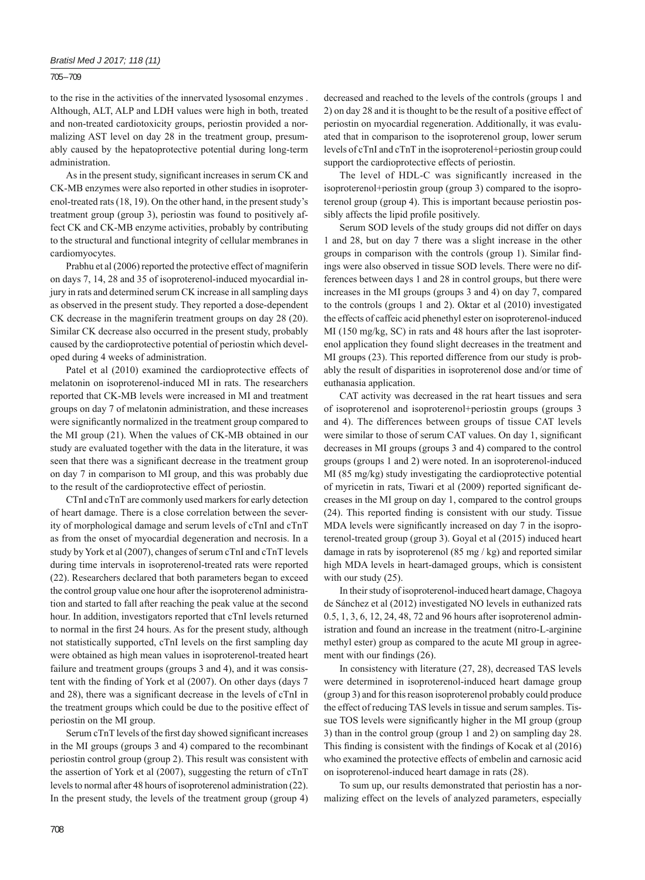# *Bratisl Med J 2017; 118 (11)*

705 – 709

to the rise in the activities of the innervated lysosomal enzymes . Although, ALT, ALP and LDH values were high in both, treated and non-treated cardiotoxicity groups, periostin provided a normalizing AST level on day 28 in the treatment group, presumably caused by the hepatoprotective potential during long-term administration.

As in the present study, significant increases in serum CK and CK-MB enzymes were also reported in other studies in isoproterenol-treated rats (18, 19). On the other hand, in the present study's treatment group (group 3), periostin was found to positively affect CK and CK-MB enzyme activities, probably by contributing to the structural and functional integrity of cellular membranes in cardiomyocytes.

Prabhu et al (2006) reported the protective effect of magniferin on days 7, 14, 28 and 35 of isoproterenol-induced myocardial injury in rats and determined serum CK increase in all sampling days as observed in the present study. They reported a dose-dependent CK decrease in the magniferin treatment groups on day 28 (20). Similar CK decrease also occurred in the present study, probably caused by the cardioprotective potential of periostin which developed during 4 weeks of administration.

Patel et al (2010) examined the cardioprotective effects of melatonin on isoproterenol-induced MI in rats. The researchers reported that CK-MB levels were increased in MI and treatment groups on day 7 of melatonin administration, and these increases were significantly normalized in the treatment group compared to the MI group (21). When the values of CK-MB obtained in our study are evaluated together with the data in the literature, it was seen that there was a significant decrease in the treatment group on day 7 in comparison to MI group, and this was probably due to the result of the cardioprotective effect of periostin.

CTnI and cTnT are commonly used markers for early detection of heart damage. There is a close correlation between the severity of morphological damage and serum levels of cTnI and cTnT as from the onset of myocardial degeneration and necrosis. In a study by York et al (2007), changes of serum cTnI and cTnT levels during time intervals in isoproterenol-treated rats were reported (22). Researchers declared that both parameters began to exceed the control group value one hour after the isoproterenol administration and started to fall after reaching the peak value at the second hour. In addition, investigators reported that cTnI levels returned to normal in the first 24 hours. As for the present study, although not statistically supported, cTnI levels on the first sampling day were obtained as high mean values in isoproterenol-treated heart failure and treatment groups (groups 3 and 4), and it was consistent with the finding of York et al (2007). On other days (days 7 and 28), there was a significant decrease in the levels of cTnI in the treatment groups which could be due to the positive effect of periostin on the MI group.

Serum cTnT levels of the first day showed significant increases in the MI groups (groups 3 and 4) compared to the recombinant periostin control group (group 2). This result was consistent with the assertion of York et al (2007), suggesting the return of cTnT levels to normal after 48 hours of isoproterenol administration (22). In the present study, the levels of the treatment group (group 4) decreased and reached to the levels of the controls (groups 1 and 2) on day 28 and it is thought to be the result of a positive effect of periostin on myocardial regeneration. Additionally, it was evaluated that in comparison to the isoproterenol group, lower serum levels of cTnI and cTnT in the isoproterenol+periostin group could support the cardioprotective effects of periostin.

The level of HDL-C was significantly increased in the isoproterenol+periostin group (group 3) compared to the isoproterenol group (group 4). This is important because periostin possibly affects the lipid profile positively.

Serum SOD levels of the study groups did not differ on days 1 and 28, but on day 7 there was a slight increase in the other groups in comparison with the controls (group 1). Similar findings were also observed in tissue SOD levels. There were no differences between days 1 and 28 in control groups, but there were increases in the MI groups (groups 3 and 4) on day 7, compared to the controls (groups 1 and 2). Oktar et al (2010) investigated the effects of caffeic acid phenethyl ester on isoproterenol -induced MI (150 mg/kg, SC) in rats and 48 hours after the last isoproterenol application they found slight decreases in the treatment and MI groups (23). This reported difference from our study is probably the result of disparities in isoproterenol dose and/or time of euthanasia application.

CAT activity was decreased in the rat heart tissues and sera of isoproterenol and isoproterenol+periostin groups (groups 3 and 4). The differences between groups of tissue CAT levels were similar to those of serum CAT values. On day 1, significant decreases in MI groups (groups 3 and 4) compared to the control groups (groups 1 and 2) were noted. In an isoproterenol-induced MI (85 mg/kg) study investigating the cardioprotective potential of myricetin in rats, Tiwari et al (2009) reported significant decreases in the MI group on day 1, compared to the control groups  $(24)$ . This reported finding is consistent with our study. Tissue MDA levels were significantly increased on day 7 in the isoproterenol-treated group (group 3). Goyal et al (2015) induced heart damage in rats by isoproterenol (85 mg / kg) and reported similar high MDA levels in heart-damaged groups, which is consistent with our study (25).

In their study of isoproterenol-induced heart damage, Chagoya de Sánchez et al (2012) investigated NO levels in euthanized rats 0.5, 1, 3, 6, 12, 24, 48, 72 and 96 hours after isoproterenol administration and found an increase in the treatment (nitro-L-arginine methyl ester) group as compared to the acute MI group in agreement with our findings (26).

In consistency with literature (27, 28), decreased TAS levels were determined in isoproterenol-induced heart damage group (group 3) and for this reason isoproterenol probably could produce the effect of reducing TAS levels in tissue and serum samples. Tissue TOS levels were significantly higher in the MI group (group 3) than in the control group (group 1 and 2) on sampling day 28. This finding is consistent with the findings of Kocak et al (2016) who examined the protective effects of embelin and carnosic acid on isoproterenol-induced heart damage in rats (28).

To sum up, our results demonstrated that periostin has a normalizing effect on the levels of analyzed parameters, especially